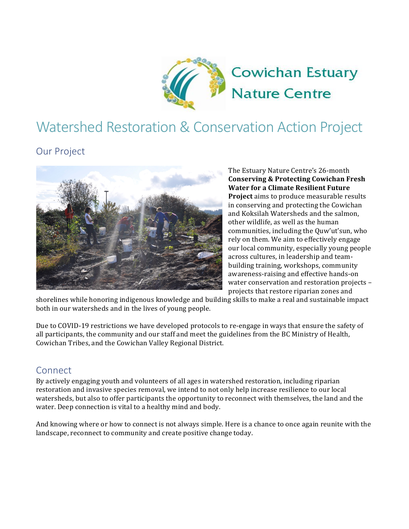

# Watershed Restoration & Conservation Action Project

### **Our Project**



The Estuary Nature Centre's 26-month **Conserving & Protecting Cowichan Fresh Water for a Climate Resilient Future Project** aims to produce measurable results in conserving and protecting the Cowichan and Koksilah Watersheds and the salmon. other wildlife, as well as the human communities, including the Quw'ut'sun, who rely on them. We aim to effectively engage our local community, especially young people across cultures, in leadership and teambuilding training, workshops, community awareness-raising and effective hands-on water conservation and restoration projects projects that restore riparian zones and

shorelines while honoring indigenous knowledge and building skills to make a real and sustainable impact both in our watersheds and in the lives of young people.

Due to COVID-19 restrictions we have developed protocols to re-engage in ways that ensure the safety of all participants, the community and our staff and meet the guidelines from the BC Ministry of Health, Cowichan Tribes, and the Cowichan Valley Regional District.

#### **Connect**

By actively engaging youth and volunteers of all ages in watershed restoration, including riparian restoration and invasive species removal, we intend to not only help increase resilience to our local watersheds, but also to offer participants the opportunity to reconnect with themselves, the land and the water. Deep connection is vital to a healthy mind and body.

And knowing where or how to connect is not always simple. Here is a chance to once again reunite with the landscape, reconnect to community and create positive change today.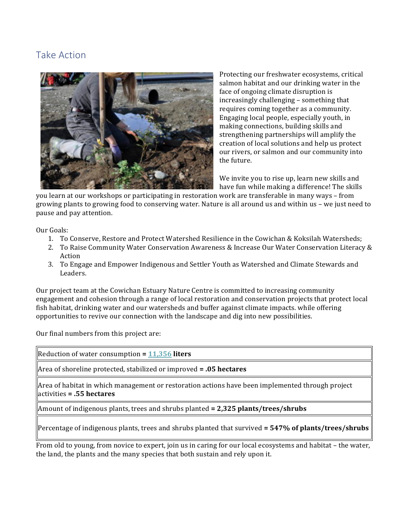### Take Action



Protecting our freshwater ecosystems, critical salmon habitat and our drinking water in the face of ongoing climate disruption is increasingly challenging - something that requires coming together as a community. Engaging local people, especially youth, in making connections, building skills and strengthening partnerships will amplify the creation of local solutions and help us protect our rivers, or salmon and our community into the future.

We invite you to rise up, learn new skills and have fun while making a difference! The skills

you learn at our workshops or participating in restoration work are transferable in many ways – from growing plants to growing food to conserving water. Nature is all around us and within us – we just need to pause and pay attention.

Our Goals:

- 1. To Conserve, Restore and Protect Watershed Resilience in the Cowichan & Koksilah Watersheds;
- 2. To Raise Community Water Conservation Awareness & Increase Our Water Conservation Literacy & Action
- 3. To Engage and Empower Indigenous and Settler Youth as Watershed and Climate Stewards and Leaders.

Our project team at the Cowichan Estuary Nature Centre is committed to increasing community engagement and cohesion through a range of local restoration and conservation projects that protect local fish habitat, drinking water and our watersheds and buffer against climate impacts. while offering opportunities to revive our connection with the landscape and dig into new possibilities.

Our final numbers from this project are:

| Reduction of water consumption = $11,356$ liters                                                                                                                                               |
|------------------------------------------------------------------------------------------------------------------------------------------------------------------------------------------------|
| Area of shoreline protected, stabilized or improved $= .05$ hectares                                                                                                                           |
| $\parallel$ Area of habitat in which management or restoration actions have been implemented through project<br>$\parallel$ activities = .55 hectares                                          |
| Amount of indigenous plants, trees and shrubs planted = 2,325 plants/trees/shrubs                                                                                                              |
| Percentage of indigenous plants, trees and shrubs planted that survived = $547\%$ of plants/trees/shrubs                                                                                       |
| From old to young, from novice to expert, join us in caring for our local ecosystems and habitat – the water,<br>the land, the plants and the many species that both sustain and rely upon it. |